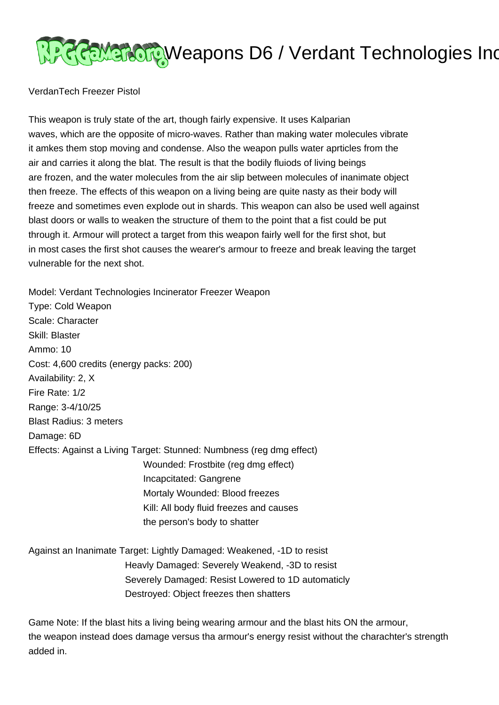## **अन्दर् स्थानोबार, Weapons D6 / Verdant Technologies Inc**

## VerdanTech Freezer Pistol

This weapon is truly state of the art, though fairly expensive. It uses Kalparian waves, which are the opposite of micro-waves. Rather than making water molecules vibrate it amkes them stop moving and condense. Also the weapon pulls water aprticles from the air and carries it along the blat. The result is that the bodily fluiods of living beings are frozen, and the water molecules from the air slip between molecules of inanimate object then freeze. The effects of this weapon on a living being are quite nasty as their body will freeze and sometimes even explode out in shards. This weapon can also be used well against blast doors or walls to weaken the structure of them to the point that a fist could be put through it. Armour will protect a target from this weapon fairly well for the first shot, but in most cases the first shot causes the wearer's armour to freeze and break leaving the target vulnerable for the next shot.

Model: Verdant Technologies Incinerator Freezer Weapon

Type: Cold Weapon Scale: Character Skill: Blaster Ammo: 10 Cost: 4,600 credits (energy packs: 200) Availability: 2, X Fire Rate: 1/2 Range: 3-4/10/25 Blast Radius: 3 meters Damage: 6D Effects: Against a Living Target: Stunned: Numbness (reg dmg effect) Wounded: Frostbite (reg dmg effect) Incapcitated: Gangrene Mortaly Wounded: Blood freezes Kill: All body fluid freezes and causes the person's body to shatter Against an Inanimate Target: Lightly Damaged: Weakened, -1D to resist

 Heavly Damaged: Severely Weakend, -3D to resist Severely Damaged: Resist Lowered to 1D automaticly Destroyed: Object freezes then shatters

Game Note: If the blast hits a living being wearing armour and the blast hits ON the armour, the weapon instead does damage versus tha armour's energy resist without the charachter's strength added in.